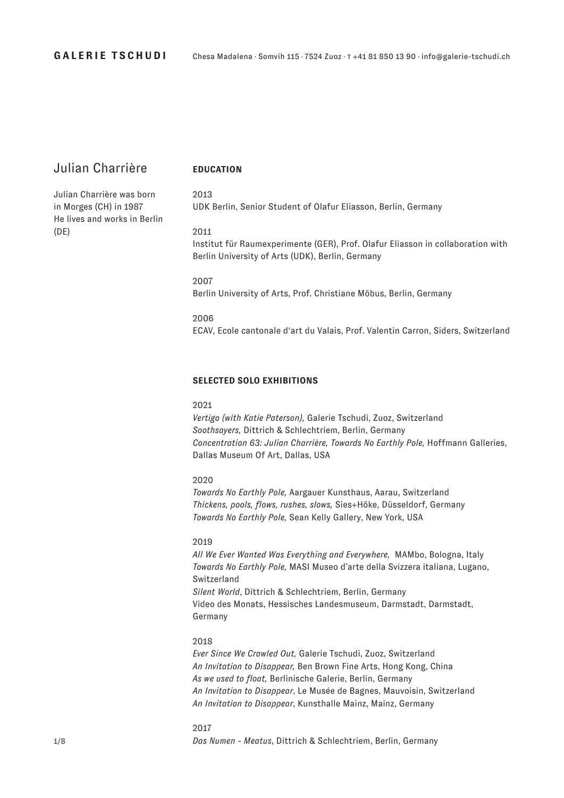# Julian Charrière

# 2013

Julian Charrière was born in Morges (CH) in 1987 He lives and works in Berlin (DE)

UDK Berlin, Senior Student of Olafur Eliasson, Berlin, Germany

### 2011

**EDUCATION**

Institut für Raumexperimente (GER), Prof. Olafur Eliasson in collaboration with Berlin University of Arts (UDK), Berlin, Germany

2007 Berlin University of Arts, Prof. Christiane Möbus, Berlin, Germany

2006 ECAV, Ecole cantonale d'art du Valais, Prof. Valentin Carron, Siders, Switzerland

### **SELECTED SOLO EXHIBITIONS**

# 2021

*Vertigo (with Katie Paterson),* Galerie Tschudi, Zuoz, Switzerland *Soothsayers,* Dittrich & Schlechtriem, Berlin, Germany *Concentration 63: Julian Charrière, Towards No Earthly Pole,* Hoffmann Galleries, Dallas Museum Of Art, Dallas, USA

#### 2020

*Towards No Earthly Pole,* Aargauer Kunsthaus, Aarau, Switzerland *Thickens, pools, flows, rushes, slows,* Sies+Höke, Düsseldorf, Germany *Towards No Earthly Pole,* Sean Kelly Gallery, New York, USA

### 2019

*All We Ever Wanted Was Everything and Everywhere,* MAMbo, Bologna, Italy *Towards No Earthly Pole,* MASI Museo d'arte della Svizzera italiana, Lugano, Switzerland *Silent World*, Dittrich & Schlechtriem, Berlin, Germany Video des Monats, Hessisches Landesmuseum, Darmstadt, Darmstadt, Germany

### 2018

*Ever Since We Crawled Out,* Galerie Tschudi, Zuoz, Switzerland *An Invitation to Disappear,* Ben Brown Fine Arts, Hong Kong, China *As we used to float,* Berlinische Galerie, Berlin, Germany *An Invitation to Disappear*, Le Musée de Bagnes, Mauvoisin, Switzerland *An Invitation to Disappear*, Kunsthalle Mainz, Mainz, Germany

#### 2017

*Das Numen - Meatus*, Dittrich & Schlechtriem, Berlin, Germany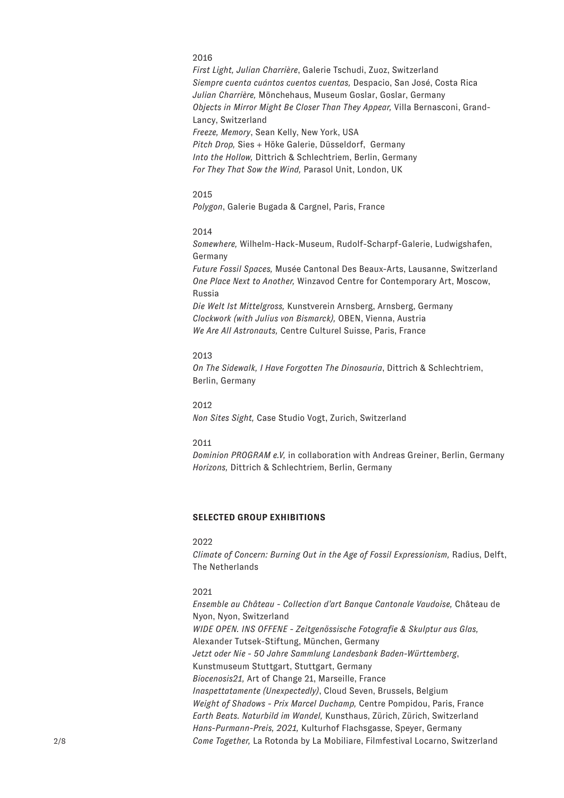# 2016

*First Light, Julian Charrière*, Galerie Tschudi, Zuoz, Switzerland *Siempre cuenta cuántos cuentos cuentas,* Despacio, San José, Costa Rica *Julian Charrière,* Mönchehaus, Museum Goslar, Goslar, Germany *Objects in Mirror Might Be Closer Than They Appear,* Villa Bernasconi, Grand-Lancy, Switzerland *Freeze, Memory*, Sean Kelly, New York, USA *Pitch Drop,* Sies + Höke Galerie, Düsseldorf, Germany

*Into the Hollow,* Dittrich & Schlechtriem, Berlin, Germany *For They That Sow the Wind,* Parasol Unit, London, UK

# 2015

*Polygon*, Galerie Bugada & Cargnel, Paris, France

## 2014

*Somewhere,* Wilhelm-Hack-Museum, Rudolf-Scharpf-Galerie, Ludwigshafen, Germany

*Future Fossil Spaces,* Musée Cantonal Des Beaux-Arts, Lausanne, Switzerland *One Place Next to Another,* Winzavod Centre for Contemporary Art, Moscow, Russia *Die Welt Ist Mittelgross,* Kunstverein Arnsberg, Arnsberg, Germany *Clockwork (with Julius von Bismarck),* OBEN, Vienna, Austria *We Are All Astronauts,* Centre Culturel Suisse, Paris, France

#### 2013

*On The Sidewalk, I Have Forgotten The Dinosauria*, Dittrich & Schlechtriem, Berlin, Germany

2012 *Non Sites Sight,* Case Studio Vogt, Zurich, Switzerland

# 2011

*Dominion PROGRAM e.V,* in collaboration with Andreas Greiner, Berlin, Germany *Horizons,* Dittrich & Schlechtriem, Berlin, Germany

#### **SELECTED GROUP EXHIBITIONS**

#### $2022$

*Climate of Concern: Burning Out in the Age of Fossil Expressionism,* Radius, Delft, The Netherlands

#### 2021

*Ensemble au Château - Collection d'art Banque Cantonale Vaudoise,* Château de Nyon, Nyon, Switzerland *WIDE OPEN. INS OFFENE - Zeitgenössische Fotografie & Skulptur aus Glas,*  Alexander Tutsek-Stiftung, München, Germany *Jetzt oder Nie - 50 Jahre Sammlung Landesbank Baden-Württemberg*, Kunstmuseum Stuttgart, Stuttgart, Germany *Biocenosis21,* Art of Change 21, Marseille, France *Inaspettatamente (Unexpectedly)*, Cloud Seven, Brussels, Belgium *Weight of Shadows - Prix Marcel Duchamp,* Centre Pompidou, Paris, France *Earth Beats. Naturbild im Wandel,* Kunsthaus, Zürich, Zürich, Switzerland *Hans-Purmann-Preis, 2021,* Kulturhof Flachsgasse, Speyer, Germany *Come Together,* La Rotonda by La Mobiliare, Filmfestival Locarno, Switzerland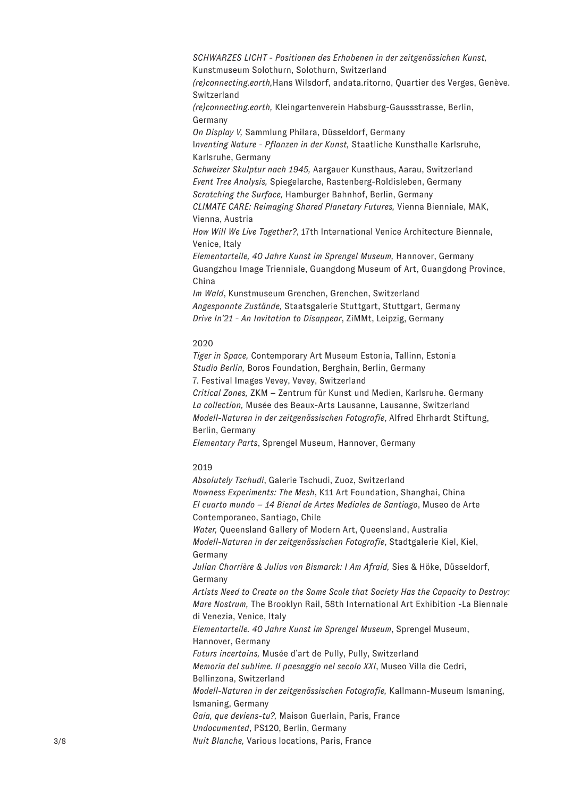*SCHWARZES LICHT - Positionen des Erhabenen in der zeitgenössichen Kunst,*  Kunstmuseum Solothurn, Solothurn, Switzerland *(re)connecting.earth,*Hans Wilsdorf, andata.ritorno, Quartier des Verges, Genève. Switzerland

*(re)connecting.earth,* Kleingartenverein Habsburg-Gaussstrasse, Berlin, Germany

*On Display V,* Sammlung Philara, Düsseldorf, Germany

I*nventing Nature - Pflanzen in der Kunst,* Staatliche Kunsthalle Karlsruhe, Karlsruhe, Germany

*Schweizer Skulptur nach 1945,* Aargauer Kunsthaus, Aarau, Switzerland *Event Tree Analysis,* Spiegelarche, Rastenberg-Roldisleben, Germany *Scratching the Surface,* Hamburger Bahnhof, Berlin, Germany *CLIMATE CARE: Reimaging Shared Planetary Futures,* Vienna Bienniale, MAK,

Vienna, Austria *How Will We Live Together?*, 17th International Venice Architecture Biennale,

Venice, Italy *Elementarteile, 40 Jahre Kunst im Sprengel Museum,* Hannover, Germany Guangzhou Image Trienniale, Guangdong Museum of Art, Guangdong Province, China

*Im Wald*, Kunstmuseum Grenchen, Grenchen, Switzerland *Angespannte Zustände,* Staatsgalerie Stuttgart, Stuttgart, Germany *Drive In'21 - An Invitation to Disappear*, ZiMMt, Leipzig, Germany

### 2020

*Tiger in Space,* Contemporary Art Museum Estonia, Tallinn, Estonia *Studio Berlin,* Boros Foundation, Berghain, Berlin, Germany 7. Festival Images Vevey, Vevey, Switzerland *Critical Zones,* ZKM – Zentrum für Kunst und Medien, Karlsruhe. Germany *La collection,* Musée des Beaux-Arts Lausanne, Lausanne, Switzerland *Modell-Naturen in der zeitgenössischen Fotografie*, Alfred Ehrhardt Stiftung,

Berlin, Germany

*Elementary Parts*, Sprengel Museum, Hannover, Germany

# 2019

*Absolutely Tschudi*, Galerie Tschudi, Zuoz, Switzerland *Nowness Experiments: The Mesh*, K11 Art Foundation, Shanghai, China *El cuarto mundo – 14 Bienal de Artes Mediales de Santiago*, Museo de Arte Contemporaneo, Santiago, Chile *Water,* Queensland Gallery of Modern Art, Queensland, Australia *Modell-Naturen in der zeitgenössischen Fotografie*, Stadtgalerie Kiel, Kiel, Germany *Julian Charrière & Julius von Bismarck: I Am Afraid,* Sies & Höke, Düsseldorf, Germany *Artists Need to Create on the Same Scale that Society Has the Capacity to Destroy: Mare Nostrum,* The Brooklyn Rail, 58th International Art Exhibition -La Biennale di Venezia, Venice, Italy *Elementarteile. 40 Jahre Kunst im Sprengel Museum*, Sprengel Museum, Hannover, Germany *Futurs incertains,* Musée d'art de Pully, Pully, Switzerland *Memoria del sublime. Il paesaggio nel secolo XXI*, Museo Villa die Cedri, Bellinzona, Switzerland *Modell-Naturen in der zeitgenössischen Fotografie,* Kallmann-Museum Ismaning, Ismaning, Germany *Gaia, que deviens-tu?,* Maison Guerlain, Paris, France *Undocumented*, PS120, Berlin, Germany *Nuit Blanche,* Various locations, Paris, France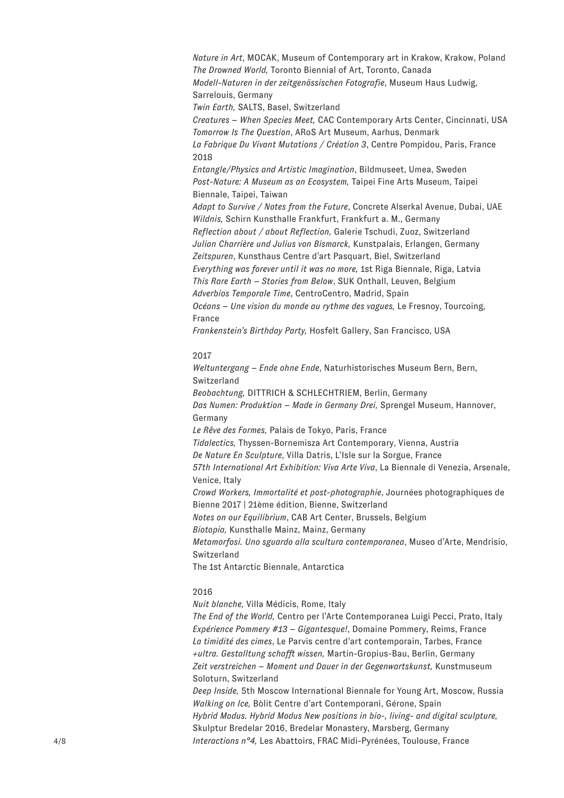*Nature in Art*, MOCAK, Museum of Contemporary art in Krakow, Krakow, Poland *The Drowned World,* Toronto Biennial of Art, Toronto, Canada *Modell-Naturen in der zeitgenössischen Fotografie*, Museum Haus Ludwig, Sarrelouis, Germany *Twin Earth,* SALTS, Basel, Switzerland *Creatures – When Species Meet,* CAC Contemporary Arts Center, Cincinnati, USA *Tomorrow Is The Question*, ARoS Art Museum, Aarhus, Denmark *La Fabrique Du Vivant Mutations / Création 3*, Centre Pompidou, Paris, France 2018 *Entangle/Physics and Artistic Imagination*, Bildmuseet, Umea, Sweden *Post-Nature: A Museum as an Ecosystem,* Taipei Fine Arts Museum, Taipei Biennale, Taipei, Taiwan *Adapt to Survive / Notes from the Future*, Concrete Alserkal Avenue, Dubai, UAE *Wildnis,* Schirn Kunsthalle Frankfurt, Frankfurt a. M., Germany *Reflection about / about Reflection,* Galerie Tschudi, Zuoz, Switzerland *Julian Charrière und Julius von Bismarck,* Kunstpalais, Erlangen, Germany *Zeitspuren*, Kunsthaus Centre d'art Pasquart, Biel, Switzerland *Everything was forever until it was no more,* 1st Riga Biennale, Riga, Latvia *This Rare Earth – Stories from Below*, SUK Onthall, Leuven, Belgium *Adverbios Temporale Time*, CentroCentro, Madrid, Spain *Océans – Une vision du monde au rythme des vagues,* Le Fresnoy, Tourcoing, France

*Frankenstein's Birthday Party,* Hosfelt Gallery, San Francisco, USA

#### 2017

*Weltuntergang – Ende ohne Ende*, Naturhistorisches Museum Bern, Bern, Switzerland *Beobachtung,* DITTRICH & SCHLECHTRIEM, Berlin, Germany *Das Numen: Produktion – Made in Germany Drei,* Sprengel Museum, Hannover, Germany *Le Rêve des Formes,* Palais de Tokyo, Paris, France *Tidalectics,* Thyssen-Bornemisza Art Contemporary, Vienna, Austria *De Nature En Sculpture*, Villa Datris, L'Isle sur la Sorgue, France *57th International Art Exhibition: Viva Arte Viva*, La Biennale di Venezia, Arsenale, Venice, Italy *Crowd Workers, Immortalité et post-photographie*, Journées photographiques de Bienne 2017 | 21ème édition, Bienne, Switzerland *Notes on our Equilibrium*, CAB Art Center, Brussels, Belgium *Biotopia,* Kunsthalle Mainz, Mainz, Germany *Metamorfosi. Uno sguardo alla scultura contemporanea*, Museo d'Arte, Mendrisio, Switzerland The 1st Antarctic Biennale, Antarctica

#### 2016

*Nuit blanche,* Villa Médicis, Rome, Italy

*The End of the World,* Centro per l'Arte Contemporanea Luigi Pecci, Prato, Italy *Expérience Pommery #13 – Gigantesque!*, Domaine Pommery, Reims, France *La timidité des cimes*, Le Parvis centre d'art contemporain, Tarbes, France *+ultra. Gestalltung schafft wissen,* Martin-Gropius-Bau, Berlin, Germany *Zeit verstreichen – Moment und Dauer in der Gegenwartskunst,* Kunstmuseum Soloturn, Switzerland

*Deep Inside,* 5th Moscow International Biennale for Young Art, Moscow, Russia *Walking on Ice,* Bòlit Centre d'art Contemporani, Gérone, Spain *Hybrid Modus. Hybrid Modus New positions in bio-, living- and digital sculpture,* Skulptur Bredelar 2016, Bredelar Monastery, Marsberg, Germany *Interactions n°4,* Les Abattoirs, FRAC Midi-Pyrénées, Toulouse, France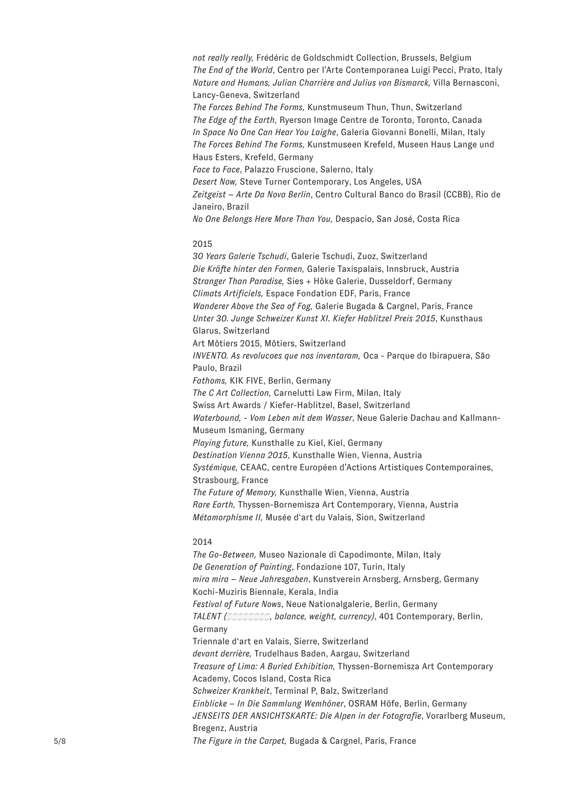*not really really,* Frédéric de Goldschmidt Collection, Brussels, Belgium *The End of the World*, Centro per l'Arte Contemporanea Luigi Pecci, Prato, Italy *Nature and Humans, Julian Charrière and Julius von Bismarck,* Villa Bernasconi, Lancy-Geneva, Switzerland *The Forces Behind The Forms,* Kunstmuseum Thun, Thun, Switzerland

*The Edge of the Earth,* Ryerson Image Centre de Toronto, Toronto, Canada *In Space No One Can Hear You Laighe*, Galeria Giovanni Bonelli, Milan, Italy *The Forces Behind The Forms,* Kunstmuseen Krefeld, Museen Haus Lange und Haus Esters, Krefeld, Germany

*Face to Face*, Palazzo Fruscione, Salerno, Italy

*Desert Now,* Steve Turner Contemporary, Los Angeles, USA

*Zeitgeist – Arte Da Nova Berlin*, Centro Cultural Banco do Brasil (CCBB), Rio de Janeiro, Brazil

*No One Belongs Here More Than You,* Despacio, San José, Costa Rica

# 2015

*30 Years Galerie Tschudi*, Galerie Tschudi, Zuoz, Switzerland *Die Kräfte hinter den Formen,* Galerie Taxispalais, Innsbruck, Austria *Stranger Than Paradise,* Sies + Höke Galerie, Dusseldorf, Germany *Climats Artificiels,* Espace Fondation EDF, Paris, France *Wanderer Above the Sea of Fog,* Galerie Bugada & Cargnel, Paris, France *Unter 30. Junge Schweizer Kunst XI. Kiefer Hablitzel Preis 2015*, Kunsthaus Glarus, Switzerland Art Môtiers 2015, Môtiers, Switzerland *INVENTO. As revolucoes que nos inventaram,* Oca - Parque do Ibirapuera, São Paulo, Brazil *Fathoms,* KIK FIVE, Berlin, Germany *The C Art Collection,* Carnelutti Law Firm, Milan, Italy Swiss Art Awards / Kiefer-Hablitzel, Basel, Switzerland *Waterbound, - Vom Leben mit dem Wasser*, Neue Galerie Dachau and Kallmann-Museum Ismaning, Germany *Playing future,* Kunsthalle zu Kiel, Kiel, Germany *Destination Vienna 2015*, Kunsthalle Wien, Vienna, Austria *Systémique,* CEAAC, centre Européen d'Actions Artistiques Contemporaines, Strasbourg, France *The Future of Memory,* Kunsthalle Wien, Vienna, Austria *Rare Earth,* Thyssen-Bornemisza Art Contemporary, Vienna, Austria *Métamorphisme II,* Musée d'art du Valais, Sion, Switzerland

#### 2014

*The Go-Between,* Museo Nazionale di Capodimonte, Milan, Italy *De Generation of Painting*, Fondazione 107, Turin, Italy *mira mira – Neue Jahresgaben*, Kunstverein Arnsberg, Arnsberg, Germany Kochi-Muziris Biennale, Kerala, India *Festival of Future Nows*, Neue Nationalgalerie, Berlin, Germany *TALENT* (*positional and registral ourrency*), 401 Contemporary, Berlin, Germany Triennale d'art en Valais, Sierre, Switzerland *devant derrière,* Trudelhaus Baden, Aargau, Switzerland *Treasure of Lima: A Buried Exhibition,* Thyssen-Bornemisza Art Contemporary Academy, Cocos Island, Costa Rica *Schweizer Krankheit*, Terminal P, Balz, Switzerland *Einblicke – In Die Sammlung Wemhöner*, OSRAM Höfe, Berlin, Germany *JENSEITS DER ANSICHTSKARTE: Die Alpen in der Fotografie*, Vorarlberg Museum, Bregenz, Austria *The Figure in the Carpet,* Bugada & Cargnel, Paris, France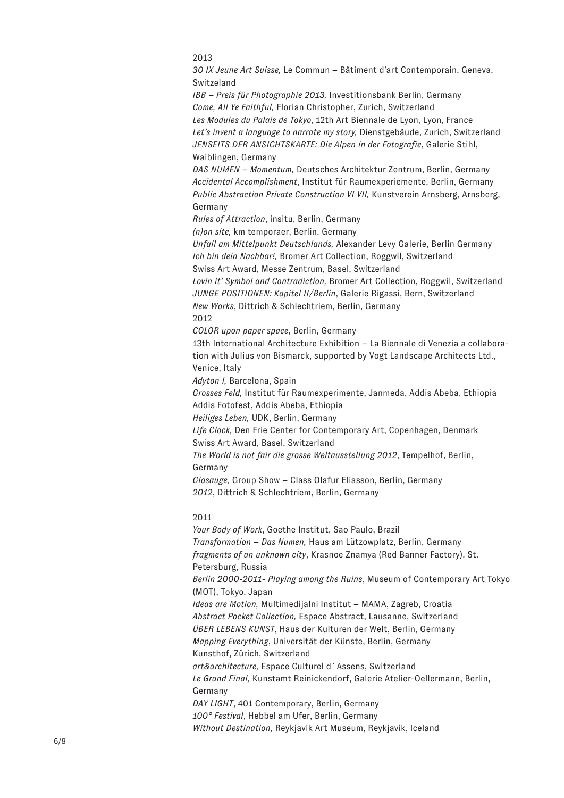2013

*30 IX Jeune Art Suisse,* Le Commun – Bâtiment d'art Contemporain, Geneva, Switzeland

*IBB – Preis für Photographie 2013,* Investitionsbank Berlin, Germany *Come, All Ye Faithful,* Florian Christopher, Zurich, Switzerland *Les Modules du Palais de Tokyo*, 12th Art Biennale de Lyon, Lyon, France *Let's invent a language to narrate my story,* Dienstgebäude, Zurich, Switzerland *JENSEITS DER ANSICHTSKARTE: Die Alpen in der Fotografie*, Galerie Stihl, Waiblingen, Germany

*DAS NUMEN – Momentum,* Deutsches Architektur Zentrum, Berlin, Germany *Accidental Accomplishment*, Institut für Raumexperiemente, Berlin, Germany *Public Abstraction Private Construction VI VII,* Kunstverein Arnsberg, Arnsberg, Germany

*Rules of Attraction*, insitu, Berlin, Germany

*(n)on site,* km temporaer, Berlin, Germany

*Unfall am Mittelpunkt Deutschlands,* Alexander Levy Galerie, Berlin Germany *Ich bin dein Nachbar!,* Bromer Art Collection, Roggwil, Switzerland Swiss Art Award, Messe Zentrum, Basel, Switzerland

*Lovin it' Symbol and Contradiction,* Bromer Art Collection, Roggwil, Switzerland *JUNGE POSITIONEN: Kapitel II/Berlin*, Galerie Rigassi, Bern, Switzerland *New Works*, Dittrich & Schlechtriem, Berlin, Germany 2012

*COLOR upon paper space*, Berlin, Germany

13th International Architecture Exhibition – La Biennale di Venezia a collaboration with Julius von Bismarck, supported by Vogt Landscape Architects Ltd., Venice, Italy

*Adyton I,* Barcelona, Spain

*Grosses Feld,* Institut für Raumexperimente, Janmeda, Addis Abeba, Ethiopia Addis Fotofest, Addis Abeba, Ethiopia

*Heiliges Leben,* UDK, Berlin, Germany

*Life Clock,* Den Frie Center for Contemporary Art, Copenhagen, Denmark Swiss Art Award, Basel, Switzerland

*The World is not fair die grosse Weltausstellung 2012*, Tempelhof, Berlin, Germany

*Glasauge,* Group Show – Class Olafur Eliasson, Berlin, Germany *2012*, Dittrich & Schlechtriem, Berlin, Germany

# 2011

*Your Body of Work*, Goethe Institut, Sao Paulo, Brazil *Transformation – Das Numen,* Haus am Lützowplatz, Berlin, Germany *fragments of an unknown city*, Krasnoe Znamya (Red Banner Factory), St. Petersburg, Russia *Berlin 2000-2011- Playing among the Ruins*, Museum of Contemporary Art Tokyo (MOT), Tokyo, Japan *Ideas are Motion,* Multimedijalni Institut – MAMA, Zagreb, Croatia *Abstract Pocket Collection,* Espace Abstract, Lausanne, Switzerland *ÜBER LEBENS KUNST*, Haus der Kulturen der Welt, Berlin, Germany *Mapping Everything*, Universität der Künste, Berlin, Germany Kunsthof, Zürich, Switzerland *art&architecture,* Espace Culturel d´Assens, Switzerland *Le Grand Final,* Kunstamt Reinickendorf, Galerie Atelier-Oellermann, Berlin, Germany *DAY LIGHT*, 401 Contemporary, Berlin, Germany *100° Festival*, Hebbel am Ufer, Berlin, Germany *Without Destination,* Reykjavik Art Museum, Reykjavik, Iceland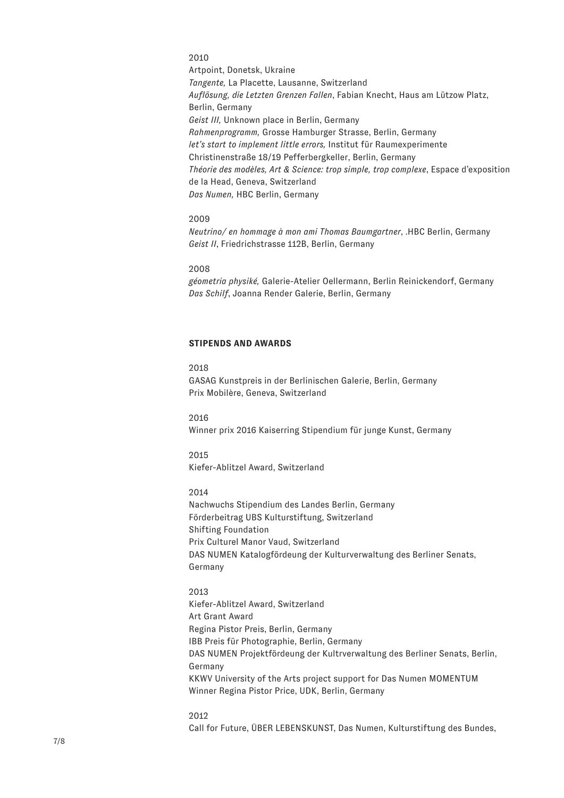2010 Artpoint, Donetsk, Ukraine *Tangente,* La Placette, Lausanne, Switzerland *Auflösung, die Letzten Grenzen Fallen*, Fabian Knecht, Haus am Lützow Platz, Berlin, Germany *Geist III,* Unknown place in Berlin, Germany *Rahmenprogramm,* Grosse Hamburger Strasse, Berlin, Germany *let's start to implement little errors,* Institut für Raumexperimente Christinenstraße 18/19 Pefferbergkeller, Berlin, Germany *Théorie des modèles, Art & Science: trop simple, trop complexe*, Espace d'exposition de la Head, Geneva, Switzerland *Das Numen,* HBC Berlin, Germany

#### 2009

*Neutrino/ en hommage à mon ami Thomas Baumgartner*, .HBC Berlin, Germany *Geist II*, Friedrichstrasse 112B, Berlin, Germany

#### 2008

*géometria physiké,* Galerie-Atelier Oellermann, Berlin Reinickendorf, Germany *Das Schilf*, Joanna Render Galerie, Berlin, Germany

# **STIPENDS AND AWARDS**

# 2018

GASAG Kunstpreis in der Berlinischen Galerie, Berlin, Germany Prix Mobilère, Geneva, Switzerland

#### 2016

Winner prix 2016 Kaiserring Stipendium für junge Kunst, Germany

# 2015 Kiefer-Ablitzel Award, Switzerland

# 2014

Nachwuchs Stipendium des Landes Berlin, Germany Förderbeitrag UBS Kulturstiftung, Switzerland Shifting Foundation Prix Culturel Manor Vaud, Switzerland DAS NUMEN Katalogfördeung der Kulturverwaltung des Berliner Senats, Germany

#### 2013

Kiefer-Ablitzel Award, Switzerland Art Grant Award Regina Pistor Preis, Berlin, Germany IBB Preis für Photographie, Berlin, Germany DAS NUMEN Projektfördeung der Kultrverwaltung des Berliner Senats, Berlin, Germany KKWV University of the Arts project support for Das Numen MOMENTUM Winner Regina Pistor Price, UDK, Berlin, Germany

#### 2012

Call for Future, ÜBER LEBENSKUNST, Das Numen, Kulturstiftung des Bundes,